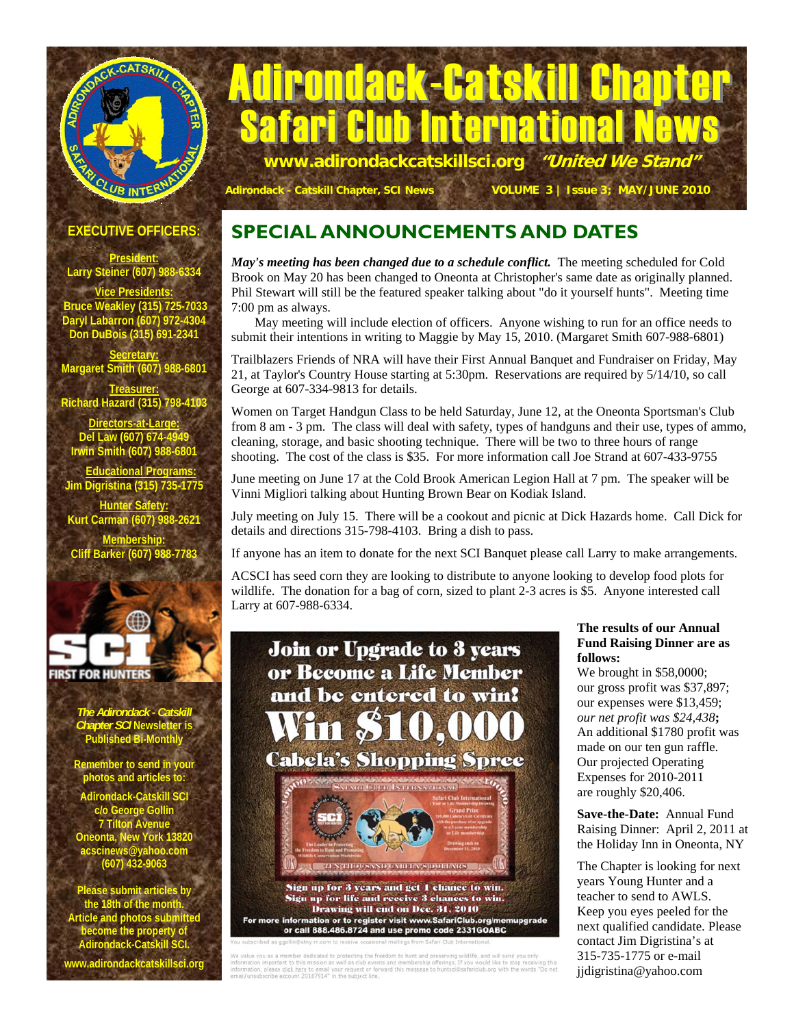# Adirondack-Catskill Chapter **Club International Ne www.adirondackcatskillsci.org "United We Stand"**

**Adirondack - Catskill Chapter, SCI News VOLUME 3 | Issue 3; MAY/JUNE 2010**

**EXECUTIVE OFFICERS:** 

CLUB INTERNA

CATSKILL

**President: Larry Steiner (607) 988-6334** 

**Vice President Bruce Weakley (315) 725-7033 Daryl Labarron (607) 972-4304 Don DuBois (315) 691-2341** 

**Secretary: Margaret Smith (607) 988-6801** 

**Treasurer: Richard Hazard (315) 798-4103 Directors-at-Large:**

**Del Law (607) 674-4949 Irwin Smith (607) 988-6801** 

 **Educational Programs: Jim Digristina (315) 735-1775** 

**Hunter Safety: Kurt Carman (607) 988-2621** 

**Membership: Cliff Barker (607) 988-7783** 



*The Adirondack - Catskill Chapter SCI* **Newsletter is Published Bi-Monthly** 

**Remember to send in your photos and articles to:** 

**Adirondack-Catskill SCI c/o George Gollin 7 Tilton Avenue Oneonta, New York 13820 acscinews@yahoo.com (607) 432-9063** 

**Please submit articles by the 18th of the month. Article and photos submitted become the property of Adirondack-Catskill SCI.** 

**www.adirondackcatskillsci.org** 

### **SPECIAL ANNOUNCEMENTS AND DATES**

*May's meeting has been changed due to a schedule conflict.* The meeting scheduled for Cold Brook on May 20 has been changed to Oneonta at Christopher's same date as originally planned. Phil Stewart will still be the featured speaker talking about "do it yourself hunts". Meeting time 7:00 pm as always.

 May meeting will include election of officers. Anyone wishing to run for an office needs to submit their intentions in writing to Maggie by May 15, 2010. (Margaret Smith 607-988-6801)

Trailblazers Friends of NRA will have their First Annual Banquet and Fundraiser on Friday, May 21, at Taylor's Country House starting at 5:30pm. Reservations are required by 5/14/10, so call George at 607-334-9813 for details.

Women on Target Handgun Class to be held Saturday, June 12, at the Oneonta Sportsman's Club from 8 am - 3 pm. The class will deal with safety, types of handguns and their use, types of ammo, cleaning, storage, and basic shooting technique. There will be two to three hours of range shooting. The cost of the class is \$35. For more information call Joe Strand at 607-433-9755

June meeting on June 17 at the Cold Brook American Legion Hall at 7 pm. The speaker will be Vinni Migliori talking about Hunting Brown Bear on Kodiak Island.

July meeting on July 15. There will be a cookout and picnic at Dick Hazards home. Call Dick for details and directions 315-798-4103. Bring a dish to pass.

If anyone has an item to donate for the next SCI Banquet please call Larry to make arrangements.

ACSCI has seed corn they are looking to distribute to anyone looking to develop food plots for wildlife. The donation for a bag of corn, sized to plant 2-3 acres is \$5. Anyone interested call Larry at 607-988-6334.



For more information or to register visit www.SafariClub.org/memupgrade or call 888.486.8724 and use promo code 2331GOABC

bscribed as goolin@stny.rr.com to receive occasional mailings from Safari Club International.<br>Ue you as a member dedicated to protecting the freedom to hunt and preserving wildlife, and will send you only<br>ation important t

**The results of our Annual Fund Raising Dinner are as follows:** 

We brought in \$58,0000; our gross profit was \$37,897; our expenses were \$13,459; *our net profit was \$24,438***;**  An additional \$1780 profit was made on our ten gun raffle. Our projected Operating Expenses for 2010-2011 are roughly \$20,406.

**Save-the-Date:** Annual Fund Raising Dinner: April 2, 2011 at the Holiday Inn in Oneonta, NY

The Chapter is looking for next years Young Hunter and a teacher to send to AWLS. Keep you eyes peeled for the next qualified candidate. Please contact Jim Digristina's at 315-735-1775 or e-mail jjdigristina@yahoo.com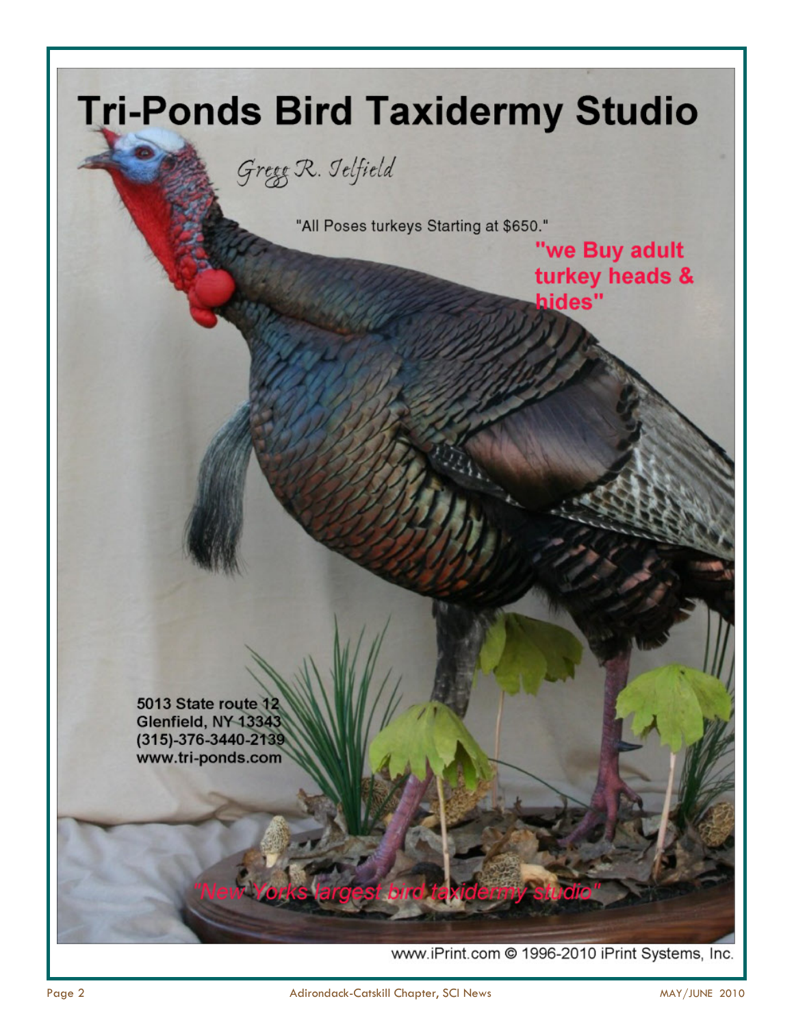

www.iPrint.com @ 1996-2010 iPrint Systems, Inc.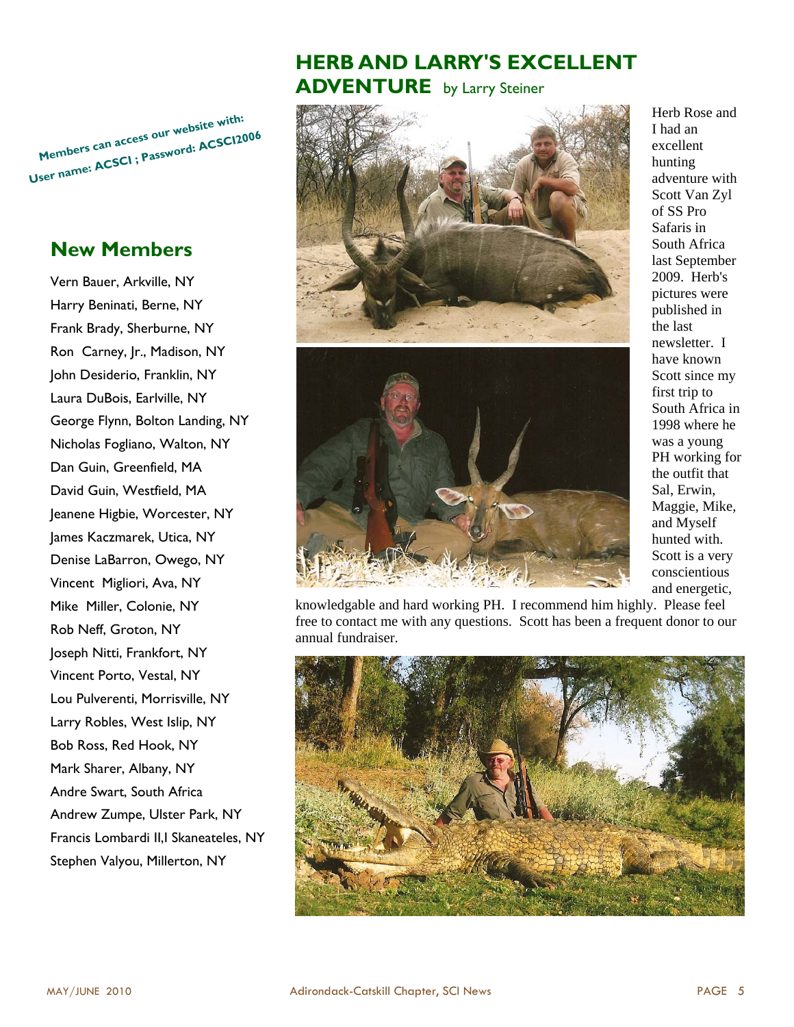**Members can access ou<sup>r</sup> website with: User name: ACSCI ; Password: ACSCI2006**

#### **New Members**

Vern Bauer, Arkville, NY Harry Beninati, Berne, NY Frank Brady, Sherburne, NY Ron Carney, Jr., Madison, NY John Desiderio, Franklin, NY Laura DuBois, Earlville, NY George Flynn, Bolton Landing, NY Nicholas Fogliano, Walton, NY Dan Guin, Greenfield, MA David Guin, Westfield, MA Jeanene Higbie, Worcester, NY James Kaczmarek, Utica, NY Denise LaBarron, Owego, NY Vincent Migliori, Ava, NY Mike Miller, Colonie, NY Rob Neff, Groton, NY Joseph Nitti, Frankfort, NY Vincent Porto, Vestal, NY Lou Pulverenti, Morrisville, NY Larry Robles, West Islip, NY Bob Ross, Red Hook, NY Mark Sharer, Albany, NY Andre Swart, South Africa Andrew Zumpe, Ulster Park, NY Francis Lombardi II,I Skaneateles, NY Stephen Valyou, Millerton, NY

### **HERB AND LARRY'S EXCELLENT ADVENTURE** by Larry Steiner





Herb Rose and I had an excellent hunting adventure with Scott Van Zyl of SS Pro Safaris in South Africa last September 2009. Herb's pictures were published in the last newsletter. I have known Scott since my first trip to South Africa in 1998 where he was a young PH working for the outfit that Sal, Erwin, Maggie, Mike, and Myself hunted with. Scott is a very conscientious and energetic,

knowledgable and hard working PH. I recommend him highly. Please feel free to contact me with any questions. Scott has been a frequent donor to our annual fundraiser.